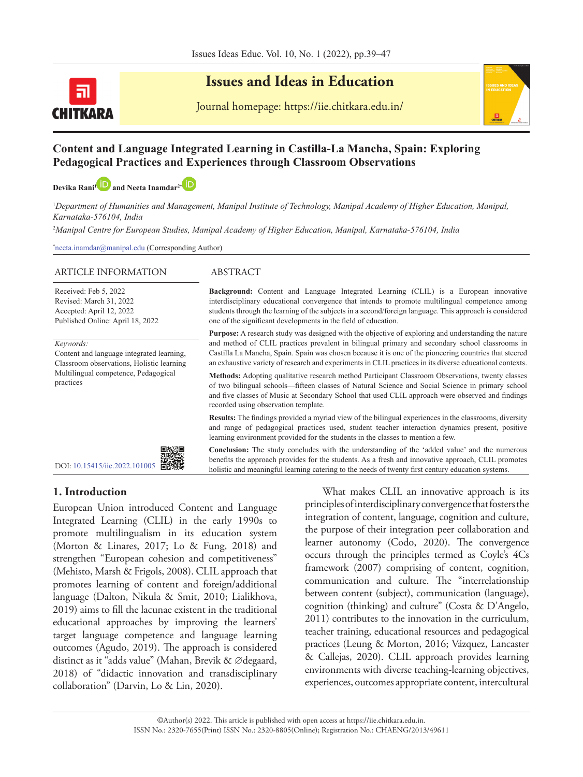

# **Issues and Ideas in Education**

Journal homepage: https://iie.chitkara.edu.in/

# **Content and Language Integrated Learning in Castilla-La Mancha, Spain: Exploring Pedagogical Practices and Experiences through Classroom Observations**

**Devika Rani<sup>1</sup> and Neeta Inamdar<sup>2</sup><sup>[\\*](https://orcid.org/0000-0003-4230-8583)</sup>** 

<sup>1</sup>Department of Humanities and Management, Manipal Institute of Technology, Manipal Academy of Higher Education, Manipal, *Karnataka-576104, India*

2 *Manipal Centre for European Studies, Manipal Academy of Higher Education, Manipal, Karnataka-576104, India* 

\* neeta.inamdar@manipal.edu (Corresponding Author)

#### ARTICLE INFORMATION ABSTRACT

Received: Feb 5, 2022 Revised: March 31, 2022 Accepted: April 12, 2022 Published Online: April 18, 2022

*Keywords:*

Content and language integrated learning, Classroom observations, Holistic learning Multilingual competence, Pedagogical practices



**Background:** Content and Language Integrated Learning (CLIL) is a European innovative interdisciplinary educational convergence that intends to promote multilingual competence among students through the learning of the subjects in a second/foreign language. This approach is considered one of the significant developments in the field of education.

**Purpose:** A research study was designed with the objective of exploring and understanding the nature and method of CLIL practices prevalent in bilingual primary and secondary school classrooms in Castilla La Mancha, Spain. Spain was chosen because it is one of the pioneering countries that steered an exhaustive variety of research and experiments in CLIL practices in its diverse educational contexts.

**Methods:** Adopting qualitative research method Participant Classroom Observations, twenty classes of two bilingual schools—fifteen classes of Natural Science and Social Science in primary school and five classes of Music at Secondary School that used CLIL approach were observed and findings recorded using observation template.

**Results:** The findings provided a myriad view of the bilingual experiences in the classrooms, diversity and range of pedagogical practices used, student teacher interaction dynamics present, positive learning environment provided for the students in the classes to mention a few.

DOI: [10.15415/iie.2022.101005](https://doi.org/10.15415/iie.2022.101005) 



**Conclusion:** The study concludes with the understanding of the 'added value' and the numerous benefits the approach provides for the students. As a fresh and innovative approach, CLIL promotes holistic and meaningful learning catering to the needs of twenty first century education systems.

# **1. Introduction**

European Union introduced Content and Language Integrated Learning (CLIL) in the early 1990s to promote multilingualism in its education system (Morton & Linares, 2017; Lo & Fung, 2018) and strengthen "European cohesion and competitiveness" (Mehisto, Marsh & Frigols, 2008). CLIL approach that promotes learning of content and foreign/additional language (Dalton, Nikula & Smit, 2010; Lialikhova, 2019) aims to fill the lacunae existent in the traditional educational approaches by improving the learners' target language competence and language learning outcomes (Agudo, 2019). The approach is considered distinct as it "adds value" (Mahan, Brevik & ∅degaard, 2018) of "didactic innovation and transdisciplinary collaboration" (Darvin, Lo & Lin, 2020).

What makes CLIL an innovative approach is its principles of interdisciplinary convergence that fosters the integration of content, language, cognition and culture, the purpose of their integration peer collaboration and learner autonomy (Codo, 2020). The convergence occurs through the principles termed as Coyle's 4Cs framework (2007) comprising of content, cognition, communication and culture. The "interrelationship between content (subject), communication (language), cognition (thinking) and culture" (Costa & D'Angelo, 2011) contributes to the innovation in the curriculum, teacher training, educational resources and pedagogical practices (Leung & Morton, 2016; Vázquez, Lancaster & Callejas, 2020). CLIL approach provides learning environments with diverse teaching-learning objectives, experiences, outcomes appropriate content, intercultural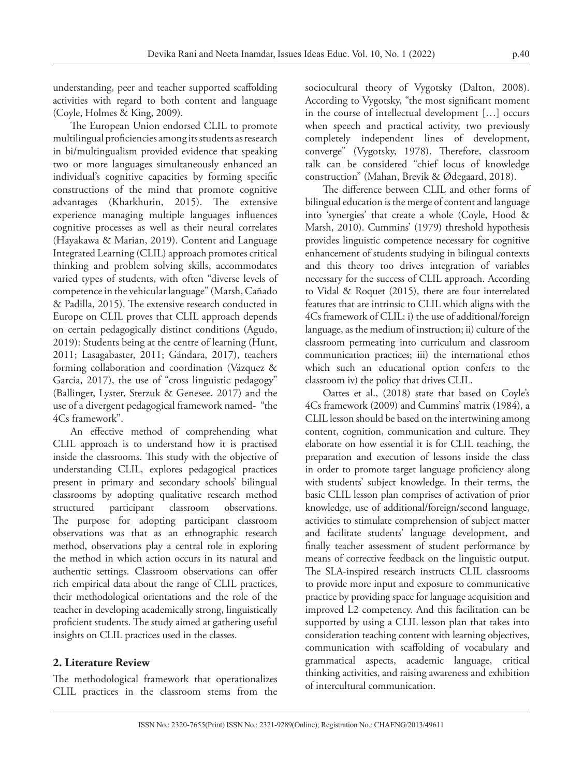understanding, peer and teacher supported scaffolding activities with regard to both content and language (Coyle, Holmes & King, 2009).

The European Union endorsed CLIL to promote multilingual proficiencies among its students as research in bi/multingualism provided evidence that speaking two or more languages simultaneously enhanced an individual's cognitive capacities by forming specific constructions of the mind that promote cognitive advantages (Kharkhurin, 2015). The extensive experience managing multiple languages influences cognitive processes as well as their neural correlates (Hayakawa & Marian, 2019). Content and Language Integrated Learning (CLIL) approach promotes critical thinking and problem solving skills, accommodates varied types of students, with often "diverse levels of competence in the vehicular language" (Marsh, Cañado & Padilla, 2015). The extensive research conducted in Europe on CLIL proves that CLIL approach depends on certain pedagogically distinct conditions (Agudo, 2019): Students being at the centre of learning (Hunt, 2011; Lasagabaster, 2011; Gándara, 2017), teachers forming collaboration and coordination (Vázquez & Garcia, 2017), the use of "cross linguistic pedagogy" (Ballinger, Lyster, Sterzuk & Genesee, 2017) and the use of a divergent pedagogical framework named- "the 4Cs framework".

An effective method of comprehending what CLIL approach is to understand how it is practised inside the classrooms. This study with the objective of understanding CLIL, explores pedagogical practices present in primary and secondary schools' bilingual classrooms by adopting qualitative research method structured participant classroom observations. The purpose for adopting participant classroom observations was that as an ethnographic research method, observations play a central role in exploring the method in which action occurs in its natural and authentic settings. Classroom observations can offer rich empirical data about the range of CLIL practices, their methodological orientations and the role of the teacher in developing academically strong, linguistically proficient students. The study aimed at gathering useful insights on CLIL practices used in the classes.

The methodological framework that operationalizes CLIL practices in the classroom stems from the

**2. Literature Review**

sociocultural theory of Vygotsky (Dalton, 2008). According to Vygotsky, "the most significant moment in the course of intellectual development […] occurs when speech and practical activity, two previously completely independent lines of development, converge" (Vygotsky, 1978). Therefore, classroom talk can be considered "chief locus of knowledge construction" (Mahan, Brevik & Ødegaard, 2018).

The difference between CLIL and other forms of bilingual education is the merge of content and language into 'synergies' that create a whole (Coyle, Hood & Marsh, 2010). Cummins' (1979) threshold hypothesis provides linguistic competence necessary for cognitive enhancement of students studying in bilingual contexts and this theory too drives integration of variables necessary for the success of CLIL approach. According to Vidal & Roquet (2015), there are four interrelated features that are intrinsic to CLIL which aligns with the 4Cs framework of CLIL: i) the use of additional/foreign language, as the medium of instruction; ii) culture of the classroom permeating into curriculum and classroom communication practices; iii) the international ethos which such an educational option confers to the classroom iv) the policy that drives CLIL.

Oattes et al., (2018) state that based on Coyle's 4Cs framework (2009) and Cummins' matrix (1984), a CLIL lesson should be based on the intertwining among content, cognition, communication and culture. They elaborate on how essential it is for CLIL teaching, the preparation and execution of lessons inside the class in order to promote target language proficiency along with students' subject knowledge. In their terms, the basic CLIL lesson plan comprises of activation of prior knowledge, use of additional/foreign/second language, activities to stimulate comprehension of subject matter and facilitate students' language development, and finally teacher assessment of student performance by means of corrective feedback on the linguistic output. The SLA-inspired research instructs CLIL classrooms to provide more input and exposure to communicative practice by providing space for language acquisition and improved L2 competency. And this facilitation can be supported by using a CLIL lesson plan that takes into consideration teaching content with learning objectives, communication with scaffolding of vocabulary and grammatical aspects, academic language, critical thinking activities, and raising awareness and exhibition of intercultural communication.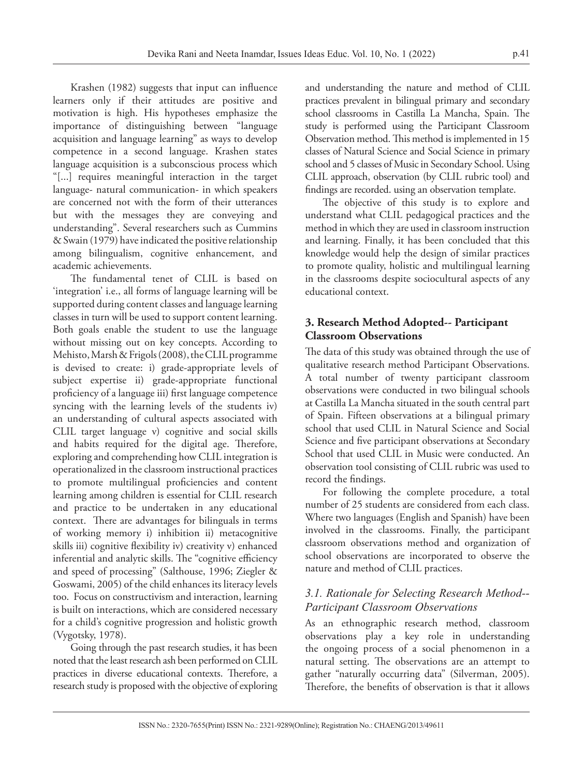Krashen (1982) suggests that input can influence learners only if their attitudes are positive and motivation is high. His hypotheses emphasize the importance of distinguishing between "language acquisition and language learning" as ways to develop competence in a second language. Krashen states language acquisition is a subconscious process which "[...] requires meaningful interaction in the target language- natural communication- in which speakers are concerned not with the form of their utterances but with the messages they are conveying and understanding". Several researchers such as Cummins & Swain (1979) have indicated the positive relationship among bilingualism, cognitive enhancement, and academic achievements.

The fundamental tenet of CLIL is based on 'integration' i.e., all forms of language learning will be supported during content classes and language learning classes in turn will be used to support content learning. Both goals enable the student to use the language without missing out on key concepts. According to Mehisto, Marsh & Frigols (2008), the CLIL programme is devised to create: i) grade-appropriate levels of subject expertise ii) grade-appropriate functional proficiency of a language iii) first language competence syncing with the learning levels of the students iv) an understanding of cultural aspects associated with CLIL target language v) cognitive and social skills and habits required for the digital age. Therefore, exploring and comprehending how CLIL integration is operationalized in the classroom instructional practices to promote multilingual proficiencies and content learning among children is essential for CLIL research and practice to be undertaken in any educational context. There are advantages for bilinguals in terms of working memory i) inhibition ii) metacognitive skills iii) cognitive flexibility iv) creativity v) enhanced inferential and analytic skills. The "cognitive efficiency and speed of processing" (Salthouse, 1996; Ziegler & Goswami, 2005) of the child enhances its literacy levels too. Focus on constructivism and interaction, learning is built on interactions, which are considered necessary for a child's cognitive progression and holistic growth (Vygotsky, 1978).

Going through the past research studies, it has been noted that the least research ash been performed on CLIL practices in diverse educational contexts. Therefore, a research study is proposed with the objective of exploring

and understanding the nature and method of CLIL practices prevalent in bilingual primary and secondary school classrooms in Castilla La Mancha, Spain. The study is performed using the Participant Classroom Observation method. This method is implemented in 15 classes of Natural Science and Social Science in primary school and 5 classes of Music in Secondary School. Using CLIL approach, observation (by CLIL rubric tool) and findings are recorded. using an observation template.

The objective of this study is to explore and understand what CLIL pedagogical practices and the method in which they are used in classroom instruction and learning. Finally, it has been concluded that this knowledge would help the design of similar practices to promote quality, holistic and multilingual learning in the classrooms despite sociocultural aspects of any educational context.

# **3. Research Method Adopted-- Participant Classroom Observations**

The data of this study was obtained through the use of qualitative research method Participant Observations. A total number of twenty participant classroom observations were conducted in two bilingual schools at Castilla La Mancha situated in the south central part of Spain. Fifteen observations at a bilingual primary school that used CLIL in Natural Science and Social Science and five participant observations at Secondary School that used CLIL in Music were conducted. An observation tool consisting of CLIL rubric was used to record the findings.

For following the complete procedure, a total number of 25 students are considered from each class. Where two languages (English and Spanish) have been involved in the classrooms. Finally, the participant classroom observations method and organization of school observations are incorporated to observe the nature and method of CLIL practices.

# *3.1. Rationale for Selecting Research Method-- Participant Classroom Observations*

As an ethnographic research method, classroom observations play a key role in understanding the ongoing process of a social phenomenon in a natural setting. The observations are an attempt to gather "naturally occurring data" (Silverman, 2005). Therefore, the benefits of observation is that it allows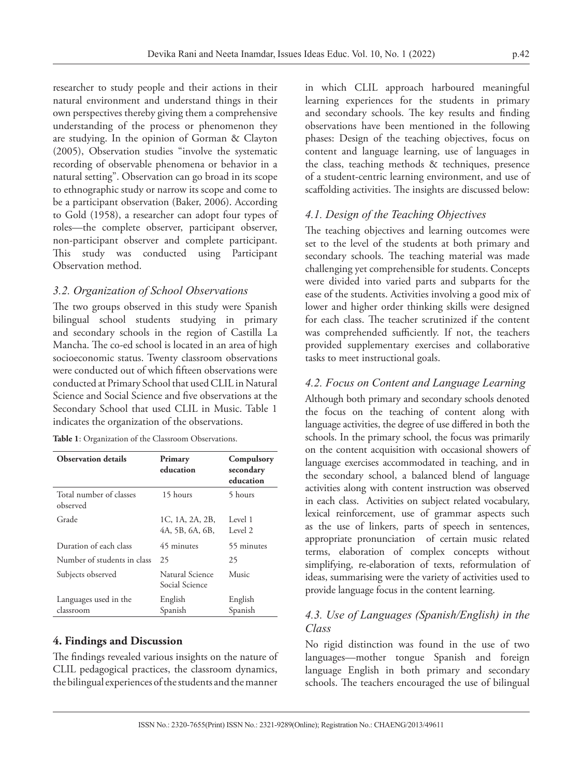researcher to study people and their actions in their natural environment and understand things in their own perspectives thereby giving them a comprehensive understanding of the process or phenomenon they are studying. In the opinion of Gorman & Clayton (2005), Observation studies "involve the systematic recording of observable phenomena or behavior in a natural setting". Observation can go broad in its scope to ethnographic study or narrow its scope and come to be a participant observation (Baker, 2006). According to Gold (1958), a researcher can adopt four types of roles—the complete observer, participant observer, non-participant observer and complete participant. This study was conducted using Participant Observation method.

#### *3.2. Organization of School Observations*

The two groups observed in this study were Spanish bilingual school students studying in primary and secondary schools in the region of Castilla La Mancha. The co-ed school is located in an area of high socioeconomic status. Twenty classroom observations were conducted out of which fifteen observations were conducted at Primary School that used CLIL in Natural Science and Social Science and five observations at the Secondary School that used CLIL in Music. Table 1 indicates the organization of the observations.

**Table 1**: Organization of the Classroom Observations.

| <b>Observation details</b>          | Primary<br>education               | Compulsory<br>secondary<br>education |
|-------------------------------------|------------------------------------|--------------------------------------|
| Total number of classes<br>observed | 15 hours                           | 5 hours                              |
| Grade                               | 1C, 1A, 2A, 2B,<br>4A, 5B, 6A, 6B, | Level 1<br>Level 2                   |
| Duration of each class              | 45 minutes                         | 55 minutes                           |
| Number of students in class         | 25                                 | 25                                   |
| Subjects observed                   | Natural Science<br>Social Science  | Music                                |
| Languages used in the<br>classroom  | English<br>Spanish                 | English<br>Spanish                   |

#### **4. Findings and Discussion**

The findings revealed various insights on the nature of CLIL pedagogical practices, the classroom dynamics, the bilingual experiences of the students and the manner

in which CLIL approach harboured meaningful learning experiences for the students in primary and secondary schools. The key results and finding observations have been mentioned in the following phases: Design of the teaching objectives, focus on content and language learning, use of languages in the class, teaching methods & techniques, presence of a student-centric learning environment, and use of scaffolding activities. The insights are discussed below:

#### *4.1. Design of the Teaching Objectives*

The teaching objectives and learning outcomes were set to the level of the students at both primary and secondary schools. The teaching material was made challenging yet comprehensible for students. Concepts were divided into varied parts and subparts for the ease of the students. Activities involving a good mix of lower and higher order thinking skills were designed for each class. The teacher scrutinized if the content was comprehended sufficiently. If not, the teachers provided supplementary exercises and collaborative tasks to meet instructional goals.

#### *4.2. Focus on Content and Language Learning*

Although both primary and secondary schools denoted the focus on the teaching of content along with language activities, the degree of use differed in both the schools. In the primary school, the focus was primarily on the content acquisition with occasional showers of language exercises accommodated in teaching, and in the secondary school, a balanced blend of language activities along with content instruction was observed in each class. Activities on subject related vocabulary, lexical reinforcement, use of grammar aspects such as the use of linkers, parts of speech in sentences, appropriate pronunciation of certain music related terms, elaboration of complex concepts without simplifying, re-elaboration of texts, reformulation of ideas, summarising were the variety of activities used to provide language focus in the content learning.

# *4.3. Use of Languages (Spanish/English) in the Class*

No rigid distinction was found in the use of two languages—mother tongue Spanish and foreign language English in both primary and secondary schools. The teachers encouraged the use of bilingual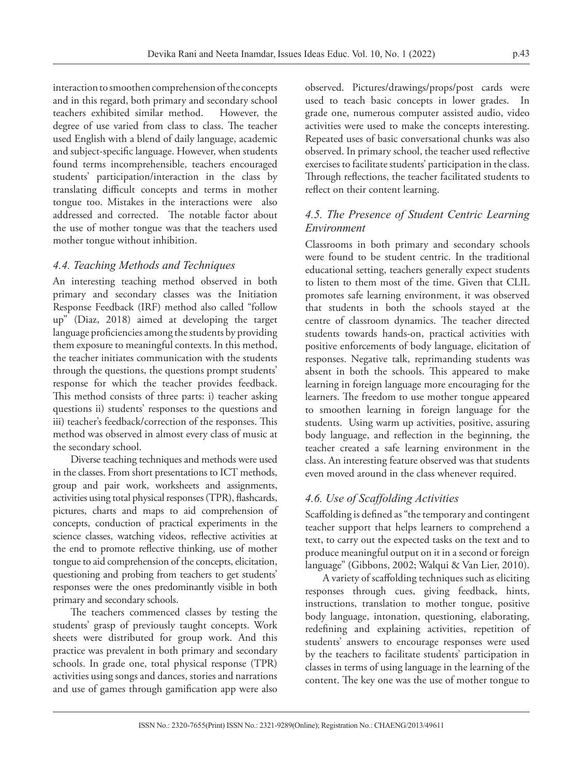interaction to smoothen comprehension of the concepts and in this regard, both primary and secondary school teachers exhibited similar method. However, the degree of use varied from class to class. The teacher used English with a blend of daily language, academic and subject-specific language. However, when students found terms incomprehensible, teachers encouraged students' participation/interaction in the class by translating difficult concepts and terms in mother tongue too. Mistakes in the interactions were also addressed and corrected. The notable factor about the use of mother tongue was that the teachers used mother tongue without inhibition.

#### *4.4. Teaching Methods and Techniques*

An interesting teaching method observed in both primary and secondary classes was the Initiation Response Feedback (IRF) method also called "follow up" (Diaz, 2018) aimed at developing the target language proficiencies among the students by providing them exposure to meaningful contexts. In this method, the teacher initiates communication with the students through the questions, the questions prompt students' response for which the teacher provides feedback. This method consists of three parts: i) teacher asking questions ii) students' responses to the questions and iii) teacher's feedback/correction of the responses. This method was observed in almost every class of music at the secondary school.

Diverse teaching techniques and methods were used in the classes. From short presentations to ICT methods, group and pair work, worksheets and assignments, activities using total physical responses (TPR), flashcards, pictures, charts and maps to aid comprehension of concepts, conduction of practical experiments in the science classes, watching videos, reflective activities at the end to promote reflective thinking, use of mother tongue to aid comprehension of the concepts, elicitation, questioning and probing from teachers to get students' responses were the ones predominantly visible in both primary and secondary schools.

The teachers commenced classes by testing the students' grasp of previously taught concepts. Work sheets were distributed for group work. And this practice was prevalent in both primary and secondary schools. In grade one, total physical response (TPR) activities using songs and dances, stories and narrations and use of games through gamification app were also

observed. Pictures/drawings/props/post cards were used to teach basic concepts in lower grades. In grade one, numerous computer assisted audio, video activities were used to make the concepts interesting. Repeated uses of basic conversational chunks was also observed. In primary school, the teacher used reflective exercises to facilitate students' participation in the class. Through reflections, the teacher facilitated students to reflect on their content learning.

#### *4.5. The Presence of Student Centric Learning Environment*

Classrooms in both primary and secondary schools were found to be student centric. In the traditional educational setting, teachers generally expect students to listen to them most of the time. Given that CLIL promotes safe learning environment, it was observed that students in both the schools stayed at the centre of classroom dynamics. The teacher directed students towards hands-on, practical activities with positive enforcements of body language, elicitation of responses. Negative talk, reprimanding students was absent in both the schools. This appeared to make learning in foreign language more encouraging for the learners. The freedom to use mother tongue appeared to smoothen learning in foreign language for the students. Using warm up activities, positive, assuring body language, and reflection in the beginning, the teacher created a safe learning environment in the class. An interesting feature observed was that students even moved around in the class whenever required.

#### *4.6. Use of Scaffolding Activities*

Scaffolding is defined as "the temporary and contingent teacher support that helps learners to comprehend a text, to carry out the expected tasks on the text and to produce meaningful output on it in a second or foreign language" (Gibbons, 2002; Walqui & Van Lier, 2010).

A variety of scaffolding techniques such as eliciting responses through cues, giving feedback, hints, instructions, translation to mother tongue, positive body language, intonation, questioning, elaborating, redefining and explaining activities, repetition of students' answers to encourage responses were used by the teachers to facilitate students' participation in classes in terms of using language in the learning of the content. The key one was the use of mother tongue to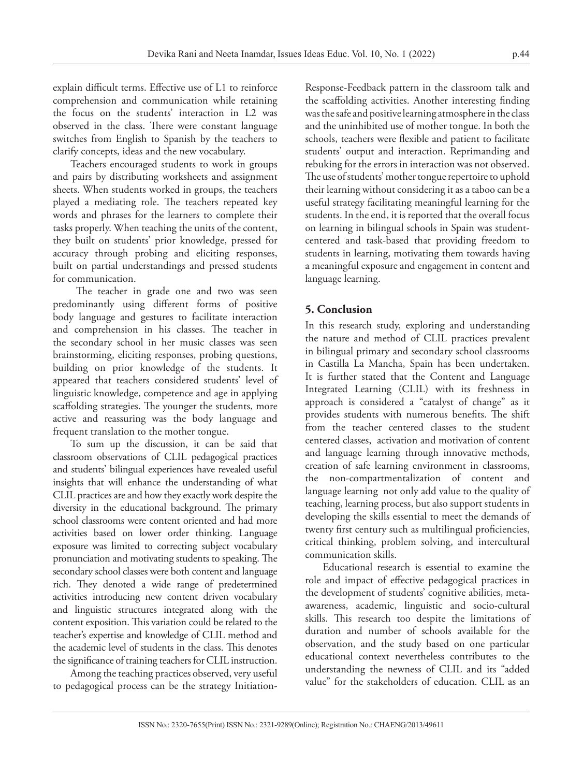explain difficult terms. Effective use of L1 to reinforce comprehension and communication while retaining the focus on the students' interaction in L2 was observed in the class. There were constant language switches from English to Spanish by the teachers to clarify concepts, ideas and the new vocabulary.

Teachers encouraged students to work in groups and pairs by distributing worksheets and assignment sheets. When students worked in groups, the teachers played a mediating role. The teachers repeated key words and phrases for the learners to complete their tasks properly. When teaching the units of the content, they built on students' prior knowledge, pressed for accuracy through probing and eliciting responses, built on partial understandings and pressed students for communication.

 The teacher in grade one and two was seen predominantly using different forms of positive body language and gestures to facilitate interaction and comprehension in his classes. The teacher in the secondary school in her music classes was seen brainstorming, eliciting responses, probing questions, building on prior knowledge of the students. It appeared that teachers considered students' level of linguistic knowledge, competence and age in applying scaffolding strategies. The younger the students, more active and reassuring was the body language and frequent translation to the mother tongue.

To sum up the discussion, it can be said that classroom observations of CLIL pedagogical practices and students' bilingual experiences have revealed useful insights that will enhance the understanding of what CLIL practices are and how they exactly work despite the diversity in the educational background. The primary school classrooms were content oriented and had more activities based on lower order thinking. Language exposure was limited to correcting subject vocabulary pronunciation and motivating students to speaking. The secondary school classes were both content and language rich. They denoted a wide range of predetermined activities introducing new content driven vocabulary and linguistic structures integrated along with the content exposition. This variation could be related to the teacher's expertise and knowledge of CLIL method and the academic level of students in the class. This denotes the significance of training teachers for CLIL instruction.

Among the teaching practices observed, very useful to pedagogical process can be the strategy InitiationResponse-Feedback pattern in the classroom talk and the scaffolding activities. Another interesting finding was the safe and positive learning atmosphere in the class and the uninhibited use of mother tongue. In both the schools, teachers were flexible and patient to facilitate students' output and interaction. Reprimanding and rebuking for the errors in interaction was not observed. The use of students' mother tongue repertoire to uphold their learning without considering it as a taboo can be a useful strategy facilitating meaningful learning for the students. In the end, it is reported that the overall focus on learning in bilingual schools in Spain was studentcentered and task-based that providing freedom to students in learning, motivating them towards having a meaningful exposure and engagement in content and language learning.

# **5. Conclusion**

In this research study, exploring and understanding the nature and method of CLIL practices prevalent in bilingual primary and secondary school classrooms in Castilla La Mancha, Spain has been undertaken. It is further stated that the Content and Language Integrated Learning (CLIL) with its freshness in approach is considered a "catalyst of change" as it provides students with numerous benefits. The shift from the teacher centered classes to the student centered classes, activation and motivation of content and language learning through innovative methods, creation of safe learning environment in classrooms, the non-compartmentalization of content and language learning not only add value to the quality of teaching, learning process, but also support students in developing the skills essential to meet the demands of twenty first century such as multilingual proficiencies, critical thinking, problem solving, and intercultural communication skills.

Educational research is essential to examine the role and impact of effective pedagogical practices in the development of students' cognitive abilities, metaawareness, academic, linguistic and socio-cultural skills. This research too despite the limitations of duration and number of schools available for the observation, and the study based on one particular educational context nevertheless contributes to the understanding the newness of CLIL and its "added value" for the stakeholders of education. CLIL as an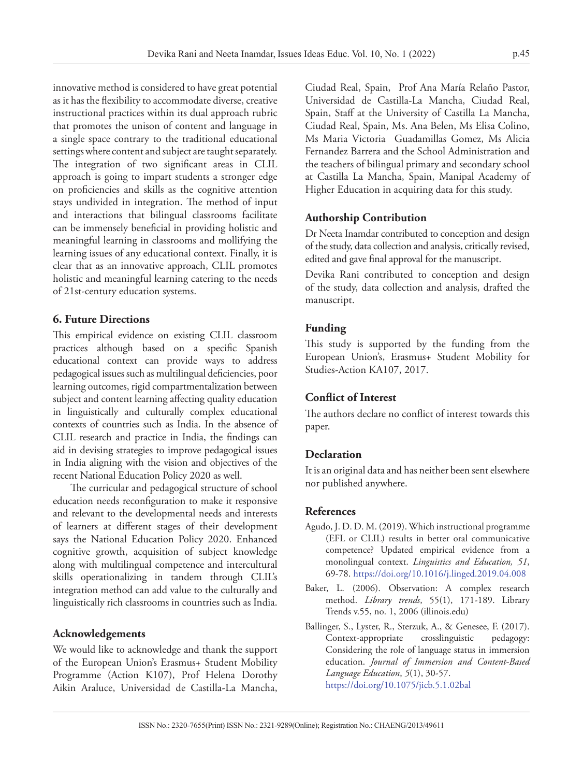innovative method is considered to have great potential as it has the flexibility to accommodate diverse, creative instructional practices within its dual approach rubric that promotes the unison of content and language in a single space contrary to the traditional educational settings where content and subject are taught separately. The integration of two significant areas in CLIL approach is going to impart students a stronger edge on proficiencies and skills as the cognitive attention stays undivided in integration. The method of input and interactions that bilingual classrooms facilitate can be immensely beneficial in providing holistic and meaningful learning in classrooms and mollifying the learning issues of any educational context. Finally, it is clear that as an innovative approach, CLIL promotes holistic and meaningful learning catering to the needs of 21st-century education systems.

#### **6. Future Directions**

This empirical evidence on existing CLIL classroom practices although based on a specific Spanish educational context can provide ways to address pedagogical issues such as multilingual deficiencies, poor learning outcomes, rigid compartmentalization between subject and content learning affecting quality education in linguistically and culturally complex educational contexts of countries such as India. In the absence of CLIL research and practice in India, the findings can aid in devising strategies to improve pedagogical issues in India aligning with the vision and objectives of the recent National Education Policy 2020 as well.

The curricular and pedagogical structure of school education needs reconfiguration to make it responsive and relevant to the developmental needs and interests of learners at different stages of their development says the National Education Policy 2020. Enhanced cognitive growth, acquisition of subject knowledge along with multilingual competence and intercultural skills operationalizing in tandem through CLIL's integration method can add value to the culturally and linguistically rich classrooms in countries such as India.

#### **Acknowledgements**

We would like to acknowledge and thank the support of the European Union's Erasmus+ Student Mobility Programme (Action K107), Prof Helena Dorothy Aikin Araluce, Universidad de Castilla-La Mancha,

Ciudad Real, Spain, Prof Ana María Relaño Pastor, Universidad de Castilla-La Mancha, Ciudad Real, Spain, Staff at the University of Castilla La Mancha, Ciudad Real, Spain, Ms. Ana Belen, Ms Elisa Colino, Ms Maria Victoria Guadamillas Gomez, Ms Alicia Fernandez Barrera and the School Administration and the teachers of bilingual primary and secondary school at Castilla La Mancha, Spain, Manipal Academy of Higher Education in acquiring data for this study.

#### **Authorship Contribution**

Dr Neeta Inamdar contributed to conception and design of the study, data collection and analysis, critically revised, edited and gave final approval for the manuscript.

Devika Rani contributed to conception and design of the study, data collection and analysis, drafted the manuscript.

# **Funding**

This study is supported by the funding from the European Union's, Erasmus+ Student Mobility for Studies-Action KA107, 2017.

#### **Conflict of Interest**

The authors declare no conflict of interest towards this paper.

#### **Declaration**

It is an original data and has neither been sent elsewhere nor published anywhere.

#### **References**

- Agudo, J. D. D. M. (2019). Which instructional programme (EFL or CLIL) results in better oral communicative competence? Updated empirical evidence from a monolingual context. *Linguistics and Education, 51*, 69-78.<https://doi.org/10.1016/j.linged.2019.04.008>
- Baker, L. (2006). Observation: A complex research method. *Library trends*, 55(1), 171-189. [Library](https://www.ideals.illinois.edu/bitstream/handle/2142/3659/ResearchProcess.pdf?sequence=2) [Trends v.55, no. 1, 2006 \(illinois.edu\)](https://www.ideals.illinois.edu/bitstream/handle/2142/3659/ResearchProcess.pdf?sequence=2)
- Ballinger, S., Lyster, R., Sterzuk, A., & Genesee, F. (2017). Context-appropriate crosslinguistic pedagogy: Considering the role of language status in immersion education. *Journal of Immersion and Content-Based Language Education*, *5*(1), 30-57. <https://doi.org/10.1075/jicb.5.1.02bal>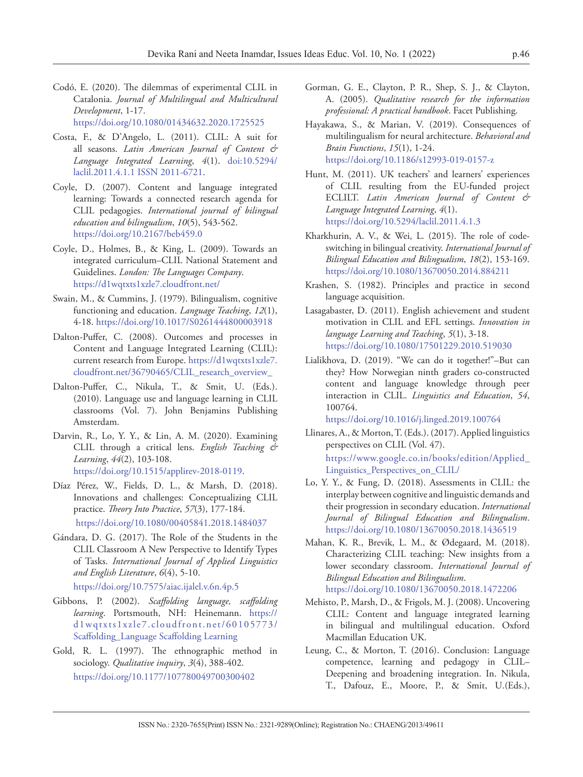- Codó, E. (2020). The dilemmas of experimental CLIL in Catalonia. *Journal of Multilingual and Multicultural Development*, 1-17. <https://doi.org/10.1080/01434632.2020.1725525>
- Costa, F., & D'Angelo, L. (2011). CLIL: A suit for all seasons. *Latin American Journal of Content & Language Integrated Learning*, *4*(1). doi:10.5294/ laclil.2011.4.1.1 ISSN 2011-6721.
- Coyle, D. (2007). Content and language integrated learning: Towards a connected research agenda for CLIL pedagogies. *International journal of bilingual education and bilingualism*, *10*(5), 543-562. <https://doi.org/10.2167/beb459.0>
- Coyle, D., Holmes, B., & King, L. (2009). Towards an integrated curriculum–CLIL National Statement and Guidelines. *London: The Languages Company*. https://d1wqtxts1xzle7.cloudfront.net/
- Swain, M., & Cummins, J. (1979). Bilingualism, cognitive functioning and education. *Language Teaching*, *12*(1), 4-18.<https://doi.org/10.1017/S0261444800003918>
- Dalton-Puffer, C. (2008). Outcomes and processes in Content and Language Integrated Learning (CLIL): current research from Europe. [https://d1wqtxts1xzle7.](https://d1wqtxts1xzle7.cloudfront.net/36790465/CLIL_research_overview_) [cloudfront.net/36790465/CLIL\\_research\\_overview\\_](https://d1wqtxts1xzle7.cloudfront.net/36790465/CLIL_research_overview_)
- Dalton-Puffer, C., Nikula, T., & Smit, U. (Eds.). (2010). Language use and language learning in CLIL classrooms (Vol. 7). John Benjamins Publishing Amsterdam.
- Darvin, R., Lo, Y. Y., & Lin, A. M. (2020). Examining CLIL through a critical lens. *English Teaching & Learning*, *44*(2), 103-108. <https://doi.org/10.1515/applirev-2018-0119>.
- Díaz Pérez, W., Fields, D. L., & Marsh, D. (2018). Innovations and challenges: Conceptualizing CLIL practice. *Theory Into Practice*, *57*(3), 177-184. <https://doi.org/10.1080/00405841.2018.1484037>
- Gándara, D. G. (2017). The Role of the Students in the CLIL Classroom A New Perspective to Identify Types of Tasks. *International Journal of Applied Linguistics*

```
and English Literature, 6(4), 5-10. 
https://doi.org/10.7575/aiac.ijalel.v.6n.4p.5
```
- Gibbons, P. (2002). *Scaffolding language, scaffolding learning*. Portsmouth, NH: Heinemann. [https://](https://d1wqtxts1xzle7.cloudfront.net/60105773/Scaffolding_Language Scaffolding_Learning) [d1wqtxts1xzle7.cloudfront.net/60105773/](https://d1wqtxts1xzle7.cloudfront.net/60105773/Scaffolding_Language Scaffolding_Learning) [Scaffolding\\_Language Scaffolding Learning](https://d1wqtxts1xzle7.cloudfront.net/60105773/Scaffolding_Language Scaffolding_Learning)
- Gold, R. L. (1997). The ethnographic method in sociology. *Qualitative inquiry*, *3*(4), 388-402. [https://doi.org/10.1177/107780049700300402](https://doi.org/10.1177%2F107780049700300402)
- Gorman, G. E., Clayton, P. R., Shep, S. J., & Clayton, A. (2005). *Qualitative research for the information professional: A practical handbook*. Facet Publishing.
- Hayakawa, S., & Marian, V. (2019). Consequences of multilingualism for neural architecture. *Behavioral and Brain Functions*, *15*(1), 1-24. <https://doi.org/10.1186/s12993-019-0157-z>
- Hunt, M. (2011). UK teachers' and learners' experiences of CLIL resulting from the EU-funded project ECLILT. *Latin American Journal of Content & Language Integrated Learning*, *4*(1). <https://doi.org/10.5294/laclil.2011.4.1.3>
- Kharkhurin, A. V., & Wei, L. (2015). The role of codeswitching in bilingual creativity. *International Journal of Bilingual Education and Bilingualism*, *18*(2), 153-169. <https://doi.org/10.1080/13670050.2014.884211>
- Krashen, S. (1982). Principles and practice in second language acquisition.
- Lasagabaster, D. (2011). English achievement and student motivation in CLIL and EFL settings. *Innovation in language Learning and Teaching*, *5*(1), 3-18. <https://doi.org/10.1080/17501229.2010.519030>
- Lialikhova, D. (2019). "We can do it together!"–But can they? How Norwegian ninth graders co-constructed content and language knowledge through peer interaction in CLIL. *Linguistics and Education*, *54*, 100764.

<https://doi.org/10.1016/j.linged.2019.100764>

Llinares, A., & Morton, T. (Eds.). (2017). Applied linguistics perspectives on CLIL (Vol. 47).

[https://www.google.co.in/books/edition/Applied\\_](https://www.google.co.in/books/edition/Applied_Linguistics_Perspectives_on_CLIL/) [Linguistics\\_Perspectives\\_on\\_CLIL/](https://www.google.co.in/books/edition/Applied_Linguistics_Perspectives_on_CLIL/)

- Lo, Y. Y., & Fung, D. (2018). Assessments in CLIL: the interplay between cognitive and linguistic demands and their progression in secondary education. *International Journal of Bilingual Education and Bilingualism*. <https://doi.org/10.1080/13670050.2018.1436519>
- Mahan, K. R., Brevik, L. M., & Ødegaard, M. (2018). Characterizing CLIL teaching: New insights from a lower secondary classroom. *International Journal of Bilingual Education and Bilingualism*. <https://doi.org/10.1080/13670050.2018.1472206>
- Mehisto, P., Marsh, D., & Frigols, M. J. (2008). Uncovering CLIL: Content and language integrated learning in bilingual and multilingual education. Oxford Macmillan Education UK.
- Leung, C., & Morton, T. (2016). Conclusion: Language competence, learning and pedagogy in CLIL– Deepening and broadening integration. In. Nikula, T., Dafouz, E., Moore, P., & Smit, U.(Eds.),